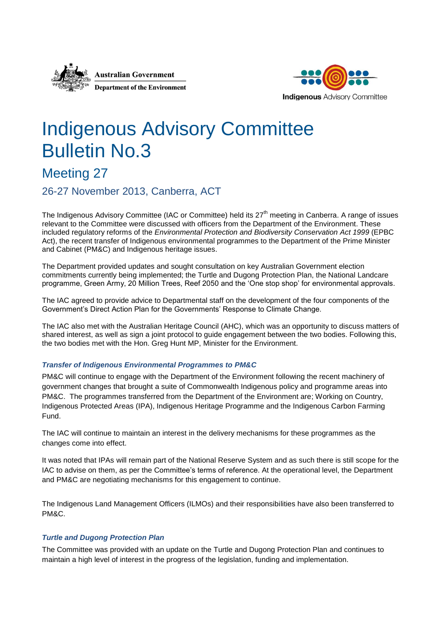



# Indigenous Advisory Committee Bulletin No.3

# Meeting 27

26-27 November 2013, Canberra, ACT

The Indigenous Advisory Committee (IAC or Committee) held its 27<sup>th</sup> meeting in Canberra. A range of issues relevant to the Committee were discussed with officers from the Department of the Environment. These included regulatory reforms of the *Environmental Protection and Biodiversity Conservation Act 1999* (EPBC Act), the recent transfer of Indigenous environmental programmes to the Department of the Prime Minister and Cabinet (PM&C) and Indigenous heritage issues.

The Department provided updates and sought consultation on key Australian Government election commitments currently being implemented; the Turtle and Dugong Protection Plan, the National Landcare programme, Green Army, 20 Million Trees, Reef 2050 and the 'One stop shop' for environmental approvals.

The IAC agreed to provide advice to Departmental staff on the development of the four components of the Government's Direct Action Plan for the Governments' Response to Climate Change.

The IAC also met with the Australian Heritage Council (AHC), which was an opportunity to discuss matters of shared interest, as well as sign a joint protocol to guide engagement between the two bodies. Following this, the two bodies met with the Hon. Greg Hunt MP, Minister for the Environment.

# *Transfer of Indigenous Environmental Programmes to PM&C*

PM&C will continue to engage with the Department of the Environment following the recent machinery of government changes that brought a suite of Commonwealth Indigenous policy and programme areas into PM&C. The programmes transferred from the Department of the Environment are; Working on Country, Indigenous Protected Areas (IPA), Indigenous Heritage Programme and the Indigenous Carbon Farming Fund.

The IAC will continue to maintain an interest in the delivery mechanisms for these programmes as the changes come into effect.

It was noted that IPAs will remain part of the National Reserve System and as such there is still scope for the IAC to advise on them, as per the Committee's terms of reference. At the operational level, the Department and PM&C are negotiating mechanisms for this engagement to continue.

The Indigenous Land Management Officers (ILMOs) and their responsibilities have also been transferred to PM&C.

### *Turtle and Dugong Protection Plan*

The Committee was provided with an update on the Turtle and Dugong Protection Plan and continues to maintain a high level of interest in the progress of the legislation, funding and implementation.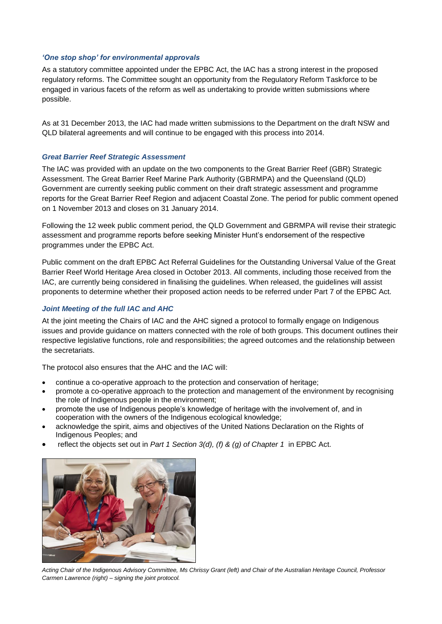#### *'One stop shop' for environmental approvals*

As a statutory committee appointed under the EPBC Act, the IAC has a strong interest in the proposed regulatory reforms. The Committee sought an opportunity from the Regulatory Reform Taskforce to be engaged in various facets of the reform as well as undertaking to provide written submissions where possible.

As at 31 December 2013, the IAC had made written submissions to the Department on the draft NSW and QLD bilateral agreements and will continue to be engaged with this process into 2014.

#### *Great Barrier Reef Strategic Assessment*

The IAC was provided with an update on the two components to the Great Barrier Reef (GBR) Strategic Assessment. The Great Barrier Reef Marine Park Authority (GBRMPA) and the Queensland (QLD) Government are currently seeking public comment on their draft strategic assessment and programme reports for the Great Barrier Reef Region and adjacent Coastal Zone. The period for public comment opened on 1 November 2013 and closes on 31 January 2014.

Following the 12 week public comment period, the QLD Government and GBRMPA will revise their strategic assessment and programme reports before seeking Minister Hunt's endorsement of the respective programmes under the EPBC Act.

Public comment on the draft EPBC Act Referral Guidelines for the Outstanding Universal Value of the Great Barrier Reef World Heritage Area closed in October 2013. All comments, including those received from the IAC, are currently being considered in finalising the guidelines. When released, the guidelines will assist proponents to determine whether their proposed action needs to be referred under Part 7 of the EPBC Act.

## *Joint Meeting of the full IAC and AHC*

At the joint meeting the Chairs of IAC and the AHC signed a protocol to formally engage on Indigenous issues and provide guidance on matters connected with the role of both groups. This document outlines their respective legislative functions, role and responsibilities; the agreed outcomes and the relationship between the secretariats.

The protocol also ensures that the AHC and the IAC will:

- continue a co-operative approach to the protection and conservation of heritage;
- promote a co-operative approach to the protection and management of the environment by recognising the role of Indigenous people in the environment;
- promote the use of Indigenous people's knowledge of heritage with the involvement of, and in cooperation with the owners of the Indigenous ecological knowledge;
- acknowledge the spirit, aims and objectives of the United Nations Declaration on the Rights of Indigenous Peoples; and
- reflect the objects set out in *Part 1 Section 3(d), (f) & (g) of Chapter 1* in EPBC Act.



*Acting Chair of the Indigenous Advisory Committee, Ms Chrissy Grant (left) and Chair of the Australian Heritage Council, Professor Carmen Lawrence (right) – signing the joint protocol.*